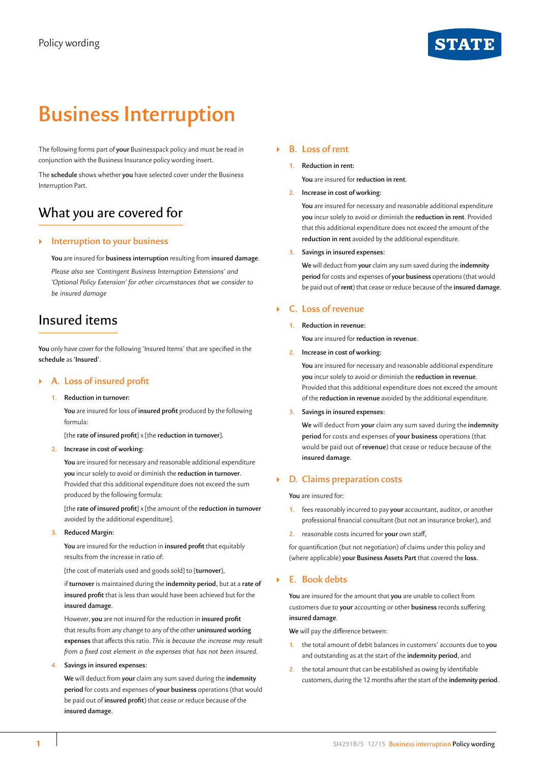# **STATE**

# **Business Interruption**

The following forms part of **your** Businesspack policy and must be read in conjunction with the Business Insurance policy wording insert.

The **schedule** shows whether **you** have selected cover under the Business Interruption Part.

# What you are covered for

# ` **Interruption to your business**

**You** are insured for **business interruption** resulting from **insured damage**.

*Please also see 'Contingent Business Interruption Extensions' and 'Optional Policy Extension' for other circumstances that we consider to be insured damage*

# Insured items

You only have cover for the following 'Insured Items' that are specified in the **schedule** as **'Insured'**.

# ` **A. Loss of insured profit**

**1. Reduction in turnover:**

**You** are insured for loss of **insured profit** produced by the following formula:

[the **rate of insured profit**] x [the **reduction in turnover**].

### **2. Increase in cost of working:**

**You** are insured for necessary and reasonable additional expenditure **you** incur solely to avoid or diminish the **reduction in turnover**. Provided that this additional expenditure does not exceed the sum produced by the following formula:

[the **rate of insured profit**] x [the amount of the **reduction in turnover** avoided by the additional expenditure].

**3. Reduced Margin:**

**You** are insured for the reduction in **insured profit** that equitably results from the increase in ratio of:

[the cost of materials used and goods sold] to [**turnover**],

if **turnover** is maintained during the **indemnity period**, but at a **rate of insured profit** that is less than would have been achieved but for the **insured damage**.

However, **you** are not insured for the reduction in **insured profit**  that results from any change to any of the other **uninsured working expenses** that affects this ratio. *This is because the increase may result from a fixed cost element in the expenses that has not been insured.*

### **4. Savings in insured expenses:**

**We** will deduct from **your** claim any sum saved during the **indemnity period** for costs and expenses of **your business** operations (that would be paid out of **insured profit**) that cease or reduce because of the **insured damage**.

# ` **B. Loss of rent**

**1. Reduction in rent:**

**You** are insured for **reduction in rent**.

### **2. Increase in cost of working:**

**You** are insured for necessary and reasonable additional expenditure **you** incur solely to avoid or diminish the **reduction in rent**. Provided that this additional expenditure does not exceed the amount of the **reduction in rent** avoided by the additional expenditure.

### **3. Savings in insured expenses:**

**We** will deduct from **your** claim any sum saved during the **indemnity period** for costs and expenses of **your business** operations (that would be paid out of **rent**) that cease or reduce because of the **insured damage**.

# ` **C. Loss of revenue**

### **1. Reduction in revenue:**

**You** are insured for **reduction in revenue**.

**2. Increase in cost of working:**

**You** are insured for necessary and reasonable additional expenditure **you** incur solely to avoid or diminish the **reduction in revenue**. Provided that this additional expenditure does not exceed the amount of the **reduction in revenue** avoided by the additional expenditure.

### **3. Savings in insured expenses:**

**We** will deduct from **your** claim any sum saved during the **indemnity period** for costs and expenses of **your business** operations (that would be paid out of **revenue**) that cease or reduce because of the **insured damage**.

### ` **D. Claims preparation costs**

**You** are insured for:

- **1.** fees reasonably incurred to pay **your** accountant, auditor, or another professional financial consultant (but not an insurance broker), and
- **2.** reasonable costs incurred for **your** own staff,

for quantification (but not negotiation) of claims under this policy and (where applicable) **your Business Assets Part** that covered the **loss**.

# ` **E. Book debts**

**You** are insured for the amount that **you** are unable to collect from customers due to **your** accounting or other **business** records suffering **insured damage**.

**We** will pay the difference between:

- **1.** the total amount of debit balances in customers' accounts due to **you** and outstanding as at the start of the **indemnity period**, and
- **2.** the total amount that can be established as owing by identifiable customers, during the 12 months after the start of the **indemnity period**.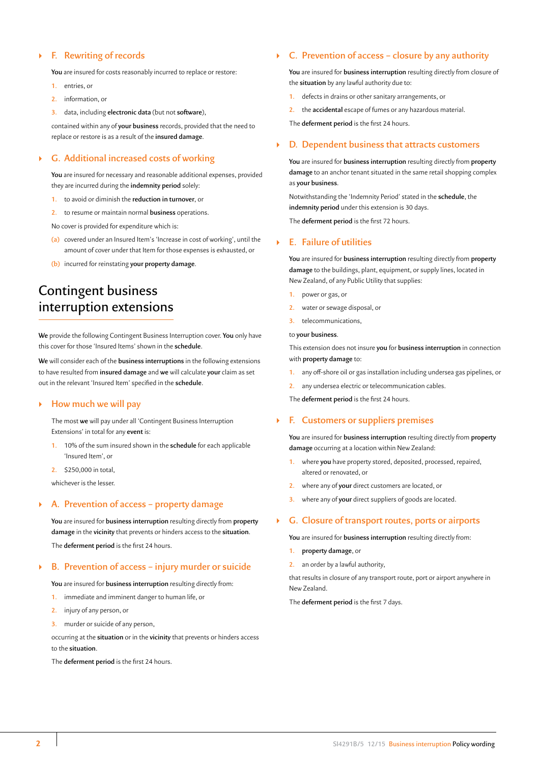# ` **F. Rewriting of records**

**You** are insured for costs reasonably incurred to replace or restore:

- **1.** entries, or
- **2.** information, or
- **3.** data, including **electronic data** (but not **software**),

contained within any of **your business** records, provided that the need to replace or restore is as a result of the **insured damage**.

# ` **G. Additional increased costs of working**

**You** are insured for necessary and reasonable additional expenses, provided they are incurred during the **indemnity period** solely:

- **1.** to avoid or diminish the **reduction in turnover**, or
- **2.** to resume or maintain normal **business** operations.

No cover is provided for expenditure which is:

- **(a)** covered under an Insured Item's 'Increase in cost of working', until the amount of cover under that Item for those expenses is exhausted, or
- **(b)** incurred for reinstating **your property damage**.

# Contingent business interruption extensions

**We** provide the following Contingent Business Interruption cover. **You** only have this cover for those 'Insured Items' shown in the **schedule**.

**We** will consider each of the **business interruptions** in the following extensions to have resulted from **insured damage** and **we** will calculate **your** claim as set out in the relevant 'Insured Item' specified in the **schedule**.

# ` **How much we will pay**

The most **we** will pay under all 'Contingent Business Interruption Extensions' in total for any **event** is:

- **1.** 10% of the sum insured shown in the **schedule** for each applicable 'Insured Item', or
- **2.** \$250,000 in total,

whichever is the lesser.

# ` **A. Prevention of access – property damage**

**You** are insured for **business interruption** resulting directly from **property damage** in the **vicinity** that prevents or hinders access to the **situation**. The **deferment period** is the first 24 hours.

### ` **B. Prevention of access – injury murder or suicide**

**You** are insured for **business interruption** resulting directly from:

- **1.** immediate and imminent danger to human life, or
- **2.** injury of any person, or
- **3.** murder or suicide of any person,

occurring at the **situation** or in the **vicinity** that prevents or hinders access to the **situation**.

The **deferment period** is the first 24 hours.

### ` **C. Prevention of access – closure by any authority**

**You** are insured for **business interruption** resulting directly from closure of the **situation** by any lawful authority due to:

- **1.** defects in drains or other sanitary arrangements, or
- **2.** the **accidental** escape of fumes or any hazardous material.

The **deferment period** is the first 24 hours.

### ` **D. Dependent business that attracts customers**

**You** are insured for **business interruption** resulting directly from **property damage** to an anchor tenant situated in the same retail shopping complex as **your business**.

Notwithstanding the 'Indemnity Period' stated in the **schedule**, the **indemnity period** under this extension is 30 days.

The **deferment period** is the first 72 hours.

# ` **E. Failure of utilities**

**You** are insured for **business interruption** resulting directly from **property damage** to the buildings, plant, equipment, or supply lines, located in New Zealand, of any Public Utility that supplies:

- **1.** power or gas, or
- **2.** water or sewage disposal, or
- **3.** telecommunications,

to **your business**.

This extension does not insure **you** for **business interruption** in connection with **property damage** to:

- **1.** any off-shore oil or gas installation including undersea gas pipelines, or
- **2.** any undersea electric or telecommunication cables.

The **deferment period** is the first 24 hours.

# ` **F. Customers or suppliers premises**

**You** are insured for **business interruption** resulting directly from **property damage** occurring at a location within New Zealand:

- **1.** where **you** have property stored, deposited, processed, repaired, altered or renovated, or
- **2.** where any of **your** direct customers are located, or
- **3.** where any of **your** direct suppliers of goods are located.

### ` **G. Closure of transport routes, ports or airports**

**You** are insured for **business interruption** resulting directly from:

- **1. property damage**, or
- **2.** an order by a lawful authority,

that results in closure of any transport route, port or airport anywhere in New Zealand.

The **deferment period** is the first 7 days.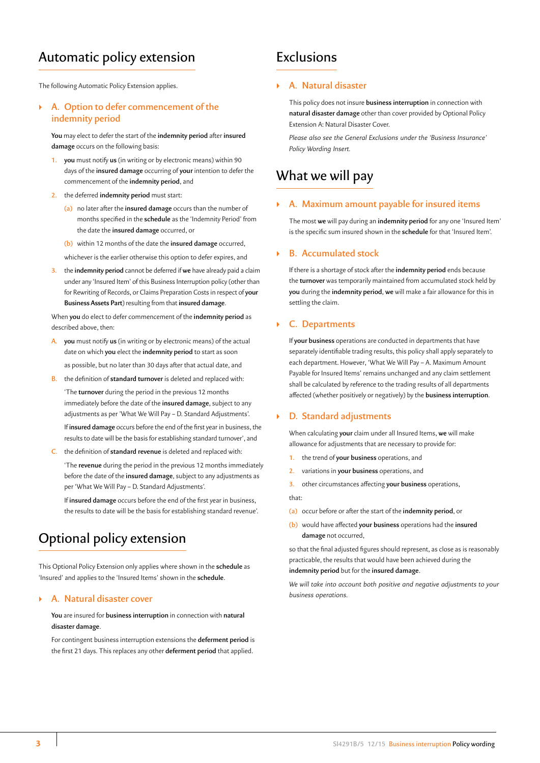# Automatic policy extension

The following Automatic Policy Extension applies.

# ` **A. Option to defer commencement of the indemnity period**

**You** may elect to defer the start of the **indemnity period** after **insured damage** occurs on the following basis:

- **1. you** must notify **us** (in writing or by electronic means) within 90 days of the **insured damage** occurring of **your** intention to defer the commencement of the **indemnity period**, and
- **2.** the deferred **indemnity period** must start:
	- **(a)** no later after the **insured damage** occurs than the number of months specified in the **schedule** as the 'Indemnity Period' from the date the **insured damage** occurred, or
	- **(b)** within 12 months of the date the **insured damage** occurred,

whichever is the earlier otherwise this option to defer expires, and

**3.** the **indemnity period** cannot be deferred if **we** have already paid a claim under any 'Insured Item' of this Business Interruption policy (other than for Rewriting of Records, or Claims Preparation Costs in respect of **your Business Assets Part**) resulting from that **insured damage**.

When **you** do elect to defer commencement of the **indemnity period** as described above, then:

- **A. you** must notify **us** (in writing or by electronic means) of the actual date on which **you** elect the **indemnity period** to start as soon as possible, but no later than 30 days after that actual date, and
	- **B.** the definition of **standard turnover** is deleted and replaced with:

'The **turnover** during the period in the previous 12 months immediately before the date of the **insured damage**, subject to any adjustments as per 'What We Will Pay – D. Standard Adjustments'.

If **insured damage** occurs before the end of the first year in business, the results to date will be the basis for establishing standard turnover', and

**C.** the definition of **standard revenue** is deleted and replaced with:

'The **revenue** during the period in the previous 12 months immediately before the date of the **insured damage**, subject to any adjustments as per 'What We Will Pay – D. Standard Adjustments'.

If **insured damage** occurs before the end of the first year in business, the results to date will be the basis for establishing standard revenue'.

# Optional policy extension

This Optional Policy Extension only applies where shown in the **schedule** as 'Insured' and applies to the 'Insured Items' shown in the **schedule**.

# ` **A. Natural disaster cover**

**You** are insured for **business interruption** in connection with **natural disaster damage**.

For contingent business interruption extensions the **deferment period** is the first 21 days. This replaces any other **deferment period** that applied.

# Exclusions

# ` **A. Natural disaster**

This policy does not insure **business interruption** in connection with **natural disaster damage** other than cover provided by Optional Policy Extension A: Natural Disaster Cover.

*Please also see the General Exclusions under the 'Business Insurance' Policy Wording Insert.* 

# What we will pay

# ` **A. Maximum amount payable for insured items**

The most **we** will pay during an **indemnity period** for any one 'Insured Item' is the specific sum insured shown in the **schedule** for that 'Insured Item'.

# ` **B. Accumulated stock**

If there is a shortage of stock after the **indemnity period** ends because the **turnover** was temporarily maintained from accumulated stock held by **you** during the **indemnity period**, **we** will make a fair allowance for this in settling the claim.

### ` **C. Departments**

If **your business** operations are conducted in departments that have separately identifiable trading results, this policy shall apply separately to each department. However, 'What We Will Pay – A. Maximum Amount Payable for Insured Items' remains unchanged and any claim settlement shall be calculated by reference to the trading results of all departments affected (whether positively or negatively) by the **business interruption**.

### ` **D. Standard adjustments**

When calculating **your** claim under all Insured Items, **we** will make allowance for adjustments that are necessary to provide for:

- **1.** the trend of **your business** operations, and
- **2.** variations in **your business** operations, and
- **3.** other circumstances affecting **your business** operations,

that:

- **(a)** occur before or after the start of the **indemnity period**, or
- **(b)** would have affected **your business** operations had the **insured damage** not occurred,

so that the final adjusted figures should represent, as close as is reasonably practicable, the results that would have been achieved during the **indemnity period** but for the **insured damage**.

*We will take into account both positive and negative adjustments to your business operations.*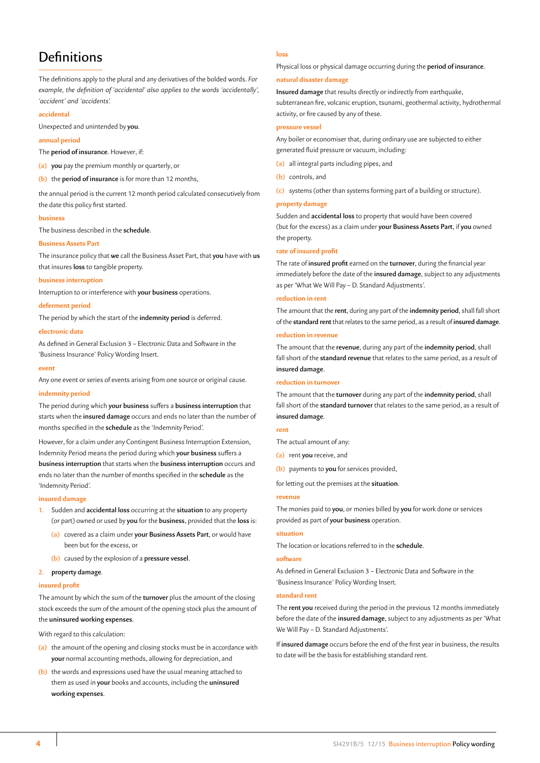# **Definitions**

# The definitions apply to the plural and any derivatives of the bolded words. *For example, the definition of 'accidental' also applies to the words 'accidentally', 'accident' and 'accidents'.*

### **accidental**

Unexpected and unintended by **you**.

### **annual period**

The **period of insurance**. However, if:

**(a) you** pay the premium monthly or quarterly, or

**(b)** the **period of insurance** is for more than 12 months,

the annual period is the current 12 month period calculated consecutively from the date this policy first started.

#### **business**

The business described in the **schedule**.

### **Business Assets Part**

The insurance policy that **we** call the Business Asset Part, that **you** have with **us** that insures **loss** to tangible property.

#### **business interruption**

Interruption to or interference with **your business** operations.

#### **deferment period**

The period by which the start of the **indemnity period** is deferred.

### **electronic data**

As defined in General Exclusion 3 – Electronic Data and Software in the 'Business Insurance' Policy Wording Insert.

#### **event**

Any one event or series of events arising from one source or original cause.

### **indemnity period**

The period during which **your business** suffers a **business interruption** that starts when the **insured damage** occurs and ends no later than the number of months specified in the **schedule** as the 'Indemnity Period'.

However, for a claim under any Contingent Business Interruption Extension, Indemnity Period means the period during which **your business** suffers a **business interruption** that starts when the **business interruption** occurs and ends no later than the number of months specified in the **schedule** as the 'Indemnity Period'.

### **insured damage**

- **1.** Sudden and **accidental loss** occurring at the **situation** to any property (or part) owned or used by **you** for the **business**, provided that the **loss** is:
	- **(a)** covered as a claim under **your Business Assets Part**, or would have been but for the excess, or
	- **(b)** caused by the explosion of a **pressure vessel**.

#### **2. property damage**.

#### **insured profit**

The amount by which the sum of the **turnover** plus the amount of the closing stock exceeds the sum of the amount of the opening stock plus the amount of the **uninsured working expenses**.

With regard to this calculation:

- **(a)** the amount of the opening and closing stocks must be in accordance with **your** normal accounting methods, allowing for depreciation, and
- **(b)** the words and expressions used have the usual meaning attached to them as used in **your** books and accounts, including the **uninsured working expenses**.

# **loss**

Physical loss or physical damage occurring during the **period of insurance**.

### **natural disaster damage**

**Insured damage** that results directly or indirectly from earthquake, subterranean fire, volcanic eruption, tsunami, geothermal activity, hydrothermal activity, or fire caused by any of these.

### **pressure vessel**

Any boiler or economiser that, during ordinary use are subjected to either generated fluid pressure or vacuum, including:

- **(a)** all integral parts including pipes, and
- **(b)** controls, and

**(c)** systems (other than systems forming part of a building or structure).

### **property damage**

Sudden and **accidental loss** to property that would have been covered (but for the excess) as a claim under **your Business Assets Part**, if **you** owned the property.

### **rate of insured profit**

The rate of **insured profit** earned on the **turnover**, during the financial year immediately before the date of the **insured damage**, subject to any adjustments as per 'What We Will Pay – D. Standard Adjustments'.

### **reduction in rent**

The amount that the **rent**, during any part of the **indemnity period**, shall fall short of the **standard rent** that relates to the same period, as a result of **insured damage**.

### **reduction in revenue**

The amount that the **revenue**, during any part of the **indemnity period**, shall fall short of the **standard revenue** that relates to the same period, as a result of **insured damage**.

#### **reduction in turnover**

The amount that the **turnover** during any part of the **indemnity period**, shall fall short of the **standard turnover** that relates to the same period, as a result of **insured damage**.

### **rent**

- The actual amount of any:
- **(a)** rent **you** receive, and
- **(b)** payments to **you** for services provided,

for letting out the premises at the **situation**.

### **revenue**

The monies paid to **you**, or monies billed by **you** for work done or services provided as part of **your business** operation.

### **situation**

The location or locations referred to in the **schedule**.

### **software**

As defined in General Exclusion 3 – Electronic Data and Software in the 'Business Insurance' Policy Wording Insert.

### **standard rent**

The **rent you** received during the period in the previous 12 months immediately before the date of the **insured damage**, subject to any adjustments as per 'What We Will Pay – D. Standard Adjustments'.

If **insured damage** occurs before the end of the first year in business, the results to date will be the basis for establishing standard rent.